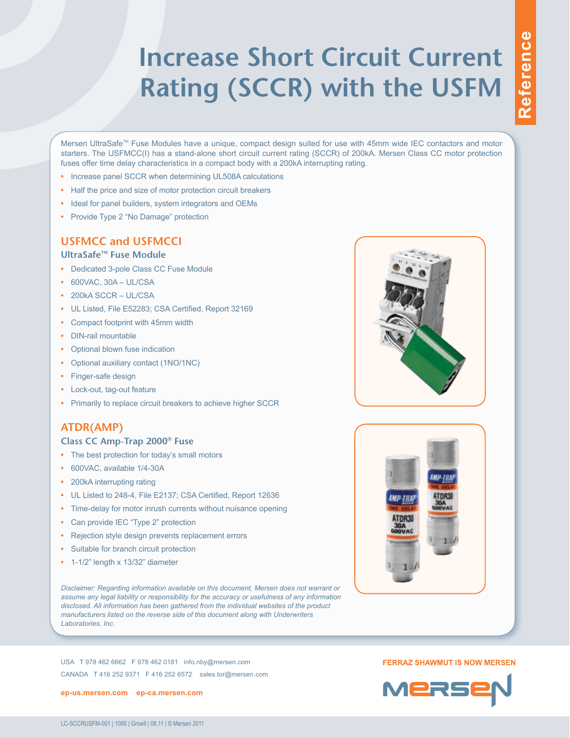# **Increase Short Circuit Current Rating (SCCR) with the USFM**

Mersen UltraSafe™ Fuse Modules have a unique, compact design suited for use with 45mm wide IEC contactors and motor starters. The USFMCC(I) has a stand-alone short circuit current rating (SCCR) of 200kA. Mersen Class CC motor protection fuses offer time delay characteristics in a compact body with a 200kA interrupting rating.

- **•** Increase panel SCCR when determining UL508A calculations
- **•** Half the price and size of motor protection circuit breakers
- **•** Ideal for panel builders, system integrators and OEMs
- **•** Provide Type 2 "No Damage" protection

### **USFMCC and USFMCCI**

#### **UltraSafeTM Fuse Module**

- **•** Dedicated 3-pole Class CC Fuse Module
- **•** 600VAC, 30A UL/CSA
- **•** 200kA SCCR UL/CSA
- **•** UL Listed, File E52283; CSA Certified, Report 32169
- **•** Compact footprint with 45mm width
- **•** DIN-rail mountable
- **•** Optional blown fuse indication
- **•** Optional auxiliary contact (1NO/1NC)
- **•** Finger-safe design
- **•** Lock-out, tag-out feature
- **•** Primarily to replace circuit breakers to achieve higher SCCR

#### **ATDR(AMP)**

#### **Class CC Amp-Trap 2000® Fuse**

- **•** The best protection for today's small motors
- **•** 600VAC, available 1/4-30A
- **•** 200kA interrupting rating
- **•** UL Listed to 248-4, File E2137; CSA Certified, Report 12636
- **•** Time-delay for motor inrush currents without nuisance opening
- **•** Can provide IEC "Type 2" protection
- **•** Rejection style design prevents replacement errors
- **•** Suitable for branch circuit protection
- **•** 1-1/2" length x 13/32" diameter

*Disclaimer: Regarding information available on this document, Mersen does not warrant or assume any legal liability or responsibility for the accuracy or usefulness of any information disclosed. All information has been gathered from the individual websites of the product manufacturers listed on the reverse side of this document along with Underwriters Laboratories, Inc.*

USA T 978 462 6662 F 978 462 0181 info.nby@mersen.com CANADA T 416 252 9371 F 416 252 6572 sales.tor@mersen.com

**[ep-us.mersen.com](http://ep-us.mersen.com) [ep-ca.mersen.com](http://ep-ca.mersen.com)**





#### **FERRAZ SHAWMUT IS NOW MERSEN**